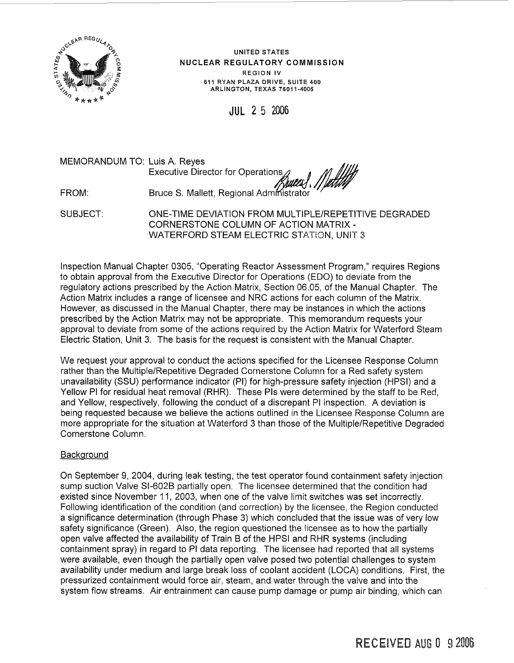

**UNITED STATES NUCLEAR REGULATORY COMMISSION REGION IV 611 RYAN PLAZA DRIVE, SUITE 400 ARLINGTON, TEXAS 7601 1-4005** 

JUL **2** 5 2006

MEMORANDUM TO: Luis A. Reyes

Executive Director for Operations<br>Bruce S. Mallett, Regional Autres, Multer FROM: Bruce S. Mallett, Regional Administrator

SUBJECT: ONE-TIME DEVIATION FROM MULTIPLE/REPETITIVE DEGRADED CORNERSTONE COLUMN OF ACTION MATRIX - WATERFORD STEAM ELECTRIC STATION, UNIT 3

Inspection Manual Chapter 0305, "Operating Reactor Assessment Program," requires Regions to obtain approval from the Executive Director for Operations (EDO) to deviate from the regulatory actions prescribed by the Action Matrix, Section 06.05, of the Manual Chapter. The Action Matrix includes a range of licensee and NRC actions for each column of the Matrix. However, as discussed in the Manual Chapter, there may be instances in which the actions prescribed by the Action Matrix may not be appropriate. This memorandum requests your approval to deviate from some of the actions required by the Action Matrix for Waterford Steam Electric Station, Unit 3. The basis for the request is consistent with the Manual Chapter.

We request your approval to conduct the actions specified for the Licensee Response Column rather than the Multiple/Repetitive Degraded Cornerstone Column for a Red safety system unavailability (SSU) performance indicator (PI) for high-pressure safety injection (HPSI) and a Yellow PI for residual heat removal (RHR). These PIS were determined by the staff to be Red, and Yellow, respectively, following the conduct of a discrepant PI inspection. A deviation is being requested because we believe the actions outlined in the Licensee Response Column are more appropriate for the situation at Waterford 3 than those of the Multiple/Repetitive Degraded Cornerstone Column.

# **Background**

On September 9, 2004, during leak testing, the test operator found containment safety injection sump suction Valve SI-602B partially open. The licensee determined that the condition had existed since November 11 , 2003, when one of the valve limit switches was set incorrectly. Following identification of the condition (and correction) by the licensee, the Region conducted a significance determination (through Phase 3) which concluded that the issue was of very low safety significance (Green). Also, the region questioned the licensee as to how the partially open valve affected the availability of Train B of the HPSI and RHR systems (including containment spray) in regard to PI data reporting. The licensee had reported that all systems were available, even though the partially open valve posed two potential challenges to system availability under medium and large break loss cf coolant accident (LOCA) conditions. First, the pressurized containment would force air, steam, and water through the valve and into the system flow streams. Air entrainment can cause pump damage or pump air binding, which can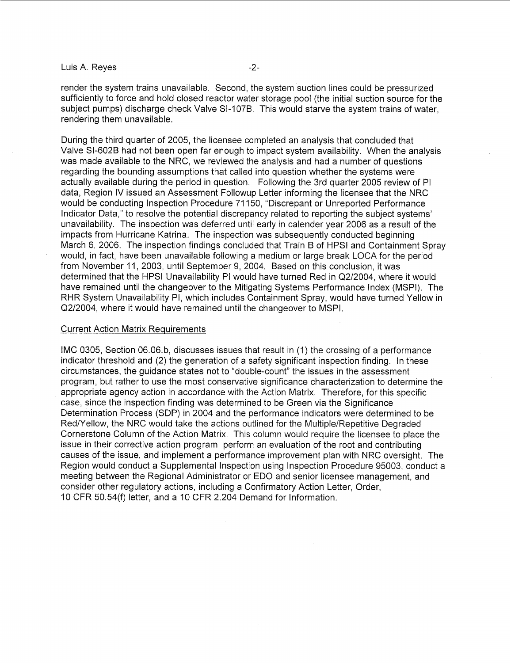#### Luis A. Reves -2-

render the system trains unavailable. Second, the system suction lines could be pressurized sufficiently to force and hold closed reactor water storage pool (the initial suction source for the subject pumps) discharge check Valve SI-107B. This would starve the system trains of water, rendering them unavailable.

During the third quarter of 2005, the licensee completed an analysis that concluded that Valve SI-602B had not been open far enough to impact system availability. When the analysis was made available to the NRC, we reviewed the analysis and had a number of questions regarding the bounding assumptions that called into question whether the systems were actually available during the period in question. Following the 3rd quarter 2005 review of PI data, Region IV issued an Assessment Followup Letter informing the licensee that the NRC would be conducting Inspection Procedure 71 150, "Discrepant or Unreported Performance Indicator Data," to resolve the potential discrepancy related to reporting the subject systems' unavailability. The inspection was deferred until early in calender year 2006 as a result of the impacts from Hurricane Katrina. The inspection was subsequently conducted beginning March 6, 2006. The inspection findings concluded that Train B of HPSl and Containment Spray would, in fact, have been unavailable following a medium or large break LOCA for the period from November 11, 2003, until September 9, 2004. Based on this conclusion, it was determined that the HPSl Unavailability PI would have turned Red in Q2/2004, where it would have remained until the changeover to the Mitigating Systems Performance Index (MSPI). The RHR System Unavailability PI, which includes Containment Spray, would have turned Yellow in Q2/2004, where it would have remained until the changeover to MSPI.

#### Current Action Matrix Requirements

IMC 0305, Section 06.06.b, discusses issues that result in (I) the crossing of a performance indicator threshold and (2) the generation of a safety significant inspection finding. In these circumstances, the guidance states not to "double-count" the issues in the assessment program, but rather to use the most conservative significance characterization to determine the appropriate agency action in accordance with the Action Matrix. Therefore, for this specific case, since the inspection finding was determined to be Green via the Significance Determination Process (SDP) in 2004 and the performance indicators were determined to be Red/Yellow, the NRC would take the actions outlined for the Multiple/Repetitive Degraded Cornerstone Column of the Action Matrix. This column would require the licensee to place the issue in their corrective action program, perform an evaluation of the root and contributing causes of the issue, and implement a performance improvement plan with NRC oversight. The Region would conduct a Supplemental Inspection using Inspection Procedure 95003, conduct a meeting between the Regional Administrator or ED0 and senior licensee management, and consider other regulatory actions, including a Confirmatory Action Letter, Order, 10 CFR 50.54(f) letter, and a 10 CFR 2.204 Demand for Information.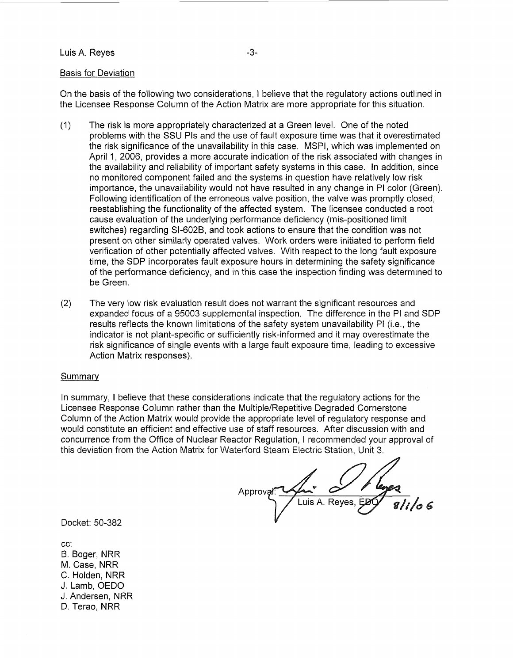### Luis A. Reyes **-3-**

#### Basis for Deviation

On the basis of the following two considerations, I believe that the regulatory actions outlined in the Licensee Response Column of the Action Matrix are more appropriate for this situation.

- (1) The risk is more appropriately characterized at a Green level. One of the noted problems with the SSU PIS and the use of fault exposure time was that it overestimated the risk significance of the unavailability in this case. MSPI, which was implemented on April 1, 2006, provides a more accurate indication of the risk associated with changes in the availability and reliability of important safety systems in this case. In addition, since no monitored component failed and the systems in question have relatively low risk importance, the unavailability would not have resulted in any change in PI color (Green). Following identification of the erroneous valve position, the valve was promptly closed, reestablishing the functionality of the affected system. The licensee conducted a root cause evaluation of the underlying performance deficiency (mis-positioned limit switches) regarding SI-602B, and took actions to ensure that the condition was not present on other similarly operated valves. Work orders were initiated to perform field verification of other potentially affected valves. With respect to the long fault exposure time, the SDP incorporates fault exposure hours in determining the safety significance of the performance deficiency, and in this case the inspection finding was determined to be Green.
- (2) The very low risk evaluation result does not warrant the significant resources and expanded focus of a 95003 supplemental inspection. The difference in the PI and SDP results reflects the known limitations of the safety system unavailability PI (i.e., the indicator is not plant-specific or sufficiently risk-informed and it may overestimate the risk significance of single events with a large fault exposure time, leading to excessive Action Matrix responses).

#### Summary

In summary, I believe that these considerations indicate that the regulatory actions for the Licensee Response Column rather than the Multiple/Repetitive Degraded Cornerstone Column of the Action Matrix would provide the appropriate level of regulatory response and would constitute an efficient and effective use of staff resources. After discussion with and concurrence from the Office of Nuclear Reactor Regulation, I recommended your approval of this deviation from the Action Matrix for Waterford Steam Electric Station, Unit 3.

Approva Luis A. Reves

Docket: 50-382

cc: B. Boger, NRR M. Case, NRR C. Holden, NRR J. Lamb, OED0 J. Andersen, NRR D. Terao, NRR